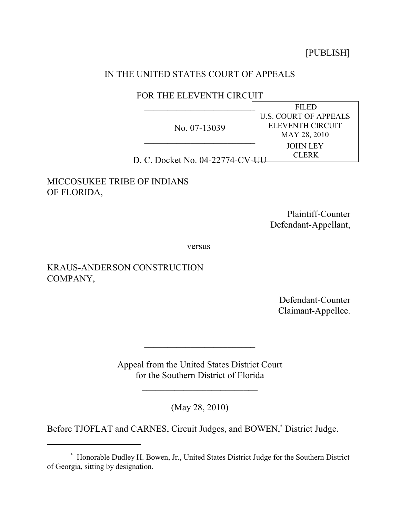[PUBLISH]

## IN THE UNITED STATES COURT OF APPEALS

## FOR THE ELEVENTH CIRCUIT

|                               | <b>FILED</b>                 |
|-------------------------------|------------------------------|
| No. 07-13039                  | <b>U.S. COURT OF APPEALS</b> |
|                               | ELEVENTH CIRCUIT             |
|                               | MAY 28, 2010                 |
|                               | JOHN LEY                     |
| D. C. Docket No. 04-22774-CV- | CI FRK                       |

## MICCOSUKEE TRIBE OF INDIANS OF FLORIDA,

Plaintiff-Counter Defendant-Appellant,

versus

# KRAUS-ANDERSON CONSTRUCTION COMPANY,

Defendant-Counter Claimant-Appellee.

Appeal from the United States District Court for the Southern District of Florida

 $\mathcal{L}_\text{max}$  , which is a set of the set of the set of the set of the set of the set of the set of the set of the set of the set of the set of the set of the set of the set of the set of the set of the set of the set of

 $\overline{\phantom{a}}$ 

(May 28, 2010)

Before TJOFLAT and CARNES, Circuit Judges, and BOWEN,<sup>\*</sup> District Judge.

Honorable Dudley H. Bowen, Jr., United States District Judge for the Southern District \* of Georgia, sitting by designation.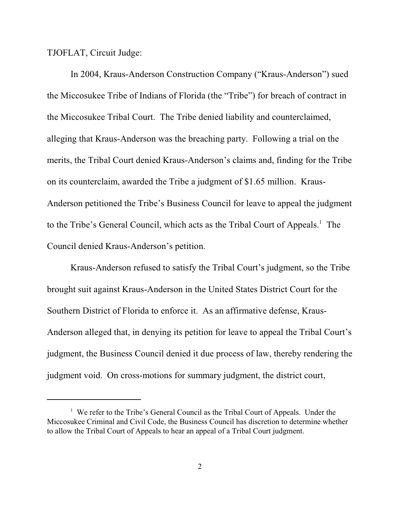TJOFLAT, Circuit Judge:

In 2004, Kraus-Anderson Construction Company ("Kraus-Anderson") sued the Miccosukee Tribe of Indians of Florida (the "Tribe") for breach of contract in the Miccosukee Tribal Court. The Tribe denied liability and counterclaimed, alleging that Kraus-Anderson was the breaching party. Following a trial on the merits, the Tribal Court denied Kraus-Anderson's claims and, finding for the Tribe on its counterclaim, awarded the Tribe a judgment of \$1.65 million. Kraus-Anderson petitioned the Tribe's Business Council for leave to appeal the judgment to the Tribe's General Council, which acts as the Tribal Court of Appeals.<sup>1</sup> The Council denied Kraus-Anderson's petition.

Kraus-Anderson refused to satisfy the Tribal Court's judgment, so the Tribe brought suit against Kraus-Anderson in the United States District Court for the Southern District of Florida to enforce it. As an affirmative defense, Kraus-Anderson alleged that, in denying its petition for leave to appeal the Tribal Court's judgment, the Business Council denied it due process of law, thereby rendering the judgment void. On cross-motions for summary judgment, the district court,

<sup>&</sup>lt;sup>1</sup> We refer to the Tribe's General Council as the Tribal Court of Appeals. Under the Miccosukee Criminal and Civil Code, the Business Council has discretion to determine whether to allow the Tribal Court of Appeals to hear an appeal of a Tribal Court judgment.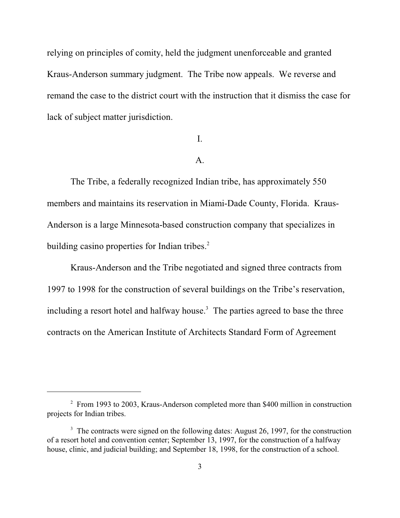relying on principles of comity, held the judgment unenforceable and granted Kraus-Anderson summary judgment. The Tribe now appeals. We reverse and remand the case to the district court with the instruction that it dismiss the case for lack of subject matter jurisdiction.

## I.

### A.

The Tribe, a federally recognized Indian tribe, has approximately 550 members and maintains its reservation in Miami-Dade County, Florida. Kraus-Anderson is a large Minnesota-based construction company that specializes in building casino properties for Indian tribes.<sup>2</sup>

Kraus-Anderson and the Tribe negotiated and signed three contracts from 1997 to 1998 for the construction of several buildings on the Tribe's reservation, including a resort hotel and halfway house.<sup>3</sup> The parties agreed to base the three contracts on the American Institute of Architects Standard Form of Agreement

<sup>&</sup>lt;sup>2</sup> From 1993 to 2003, Kraus-Anderson completed more than \$400 million in construction projects for Indian tribes.

 $\frac{3}{10}$ . The contracts were signed on the following dates: August 26, 1997, for the construction of a resort hotel and convention center; September 13, 1997, for the construction of a halfway house, clinic, and judicial building; and September 18, 1998, for the construction of a school.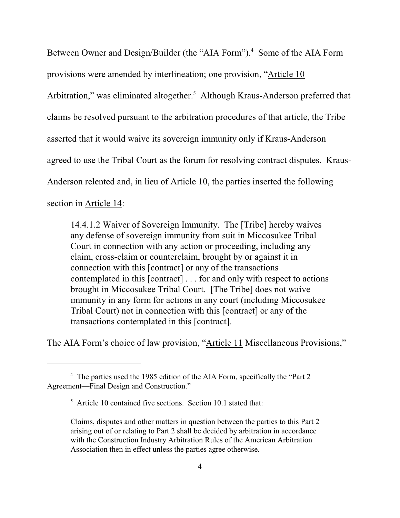Between Owner and Design/Builder (the "AIA Form").<sup>4</sup> Some of the AIA Form provisions were amended by interlineation; one provision, "Article 10 Arbitration," was eliminated altogether.<sup>5</sup> Although Kraus-Anderson preferred that claims be resolved pursuant to the arbitration procedures of that article, the Tribe asserted that it would waive its sovereign immunity only if Kraus-Anderson agreed to use the Tribal Court as the forum for resolving contract disputes. Kraus-Anderson relented and, in lieu of Article 10, the parties inserted the following section in Article 14:

14.4.1.2 Waiver of Sovereign Immunity. The [Tribe] hereby waives any defense of sovereign immunity from suit in Miccosukee Tribal Court in connection with any action or proceeding, including any claim, cross-claim or counterclaim, brought by or against it in connection with this [contract] or any of the transactions contemplated in this [contract] . . . for and only with respect to actions brought in Miccosukee Tribal Court. [The Tribe] does not waive immunity in any form for actions in any court (including Miccosukee Tribal Court) not in connection with this [contract] or any of the transactions contemplated in this [contract].

The AIA Form's choice of law provision, "Article 11 Miscellaneous Provisions,"

<sup>&</sup>lt;sup>4</sup> The parties used the 1985 edition of the AIA Form, specifically the "Part 2 Agreement—Final Design and Construction."

 $5$  Article 10 contained five sections. Section 10.1 stated that:

Claims, disputes and other matters in question between the parties to this Part 2 arising out of or relating to Part 2 shall be decided by arbitration in accordance with the Construction Industry Arbitration Rules of the American Arbitration Association then in effect unless the parties agree otherwise.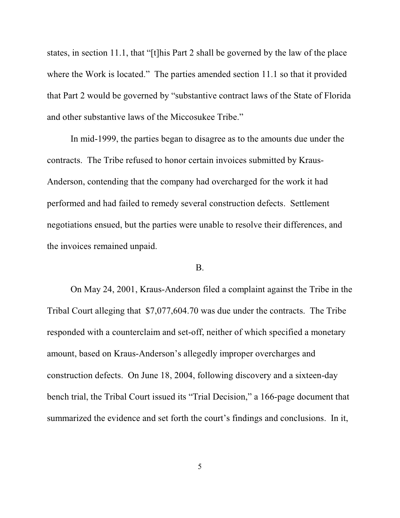states, in section 11.1, that "[t]his Part 2 shall be governed by the law of the place where the Work is located." The parties amended section 11.1 so that it provided that Part 2 would be governed by "substantive contract laws of the State of Florida and other substantive laws of the Miccosukee Tribe."

In mid-1999, the parties began to disagree as to the amounts due under the contracts. The Tribe refused to honor certain invoices submitted by Kraus-Anderson, contending that the company had overcharged for the work it had performed and had failed to remedy several construction defects. Settlement negotiations ensued, but the parties were unable to resolve their differences, and the invoices remained unpaid.

#### B.

On May 24, 2001, Kraus-Anderson filed a complaint against the Tribe in the Tribal Court alleging that \$7,077,604.70 was due under the contracts. The Tribe responded with a counterclaim and set-off, neither of which specified a monetary amount, based on Kraus-Anderson's allegedly improper overcharges and construction defects. On June 18, 2004, following discovery and a sixteen-day bench trial, the Tribal Court issued its "Trial Decision," a 166-page document that summarized the evidence and set forth the court's findings and conclusions. In it,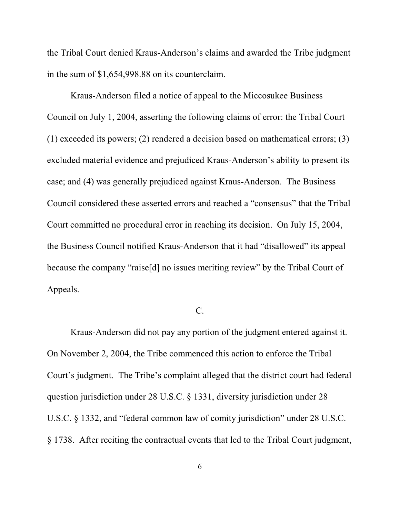the Tribal Court denied Kraus-Anderson's claims and awarded the Tribe judgment in the sum of \$1,654,998.88 on its counterclaim.

Kraus-Anderson filed a notice of appeal to the Miccosukee Business Council on July 1, 2004, asserting the following claims of error: the Tribal Court (1) exceeded its powers; (2) rendered a decision based on mathematical errors; (3) excluded material evidence and prejudiced Kraus-Anderson's ability to present its case; and (4) was generally prejudiced against Kraus-Anderson. The Business Council considered these asserted errors and reached a "consensus" that the Tribal Court committed no procedural error in reaching its decision. On July 15, 2004, the Business Council notified Kraus-Anderson that it had "disallowed" its appeal because the company "raise[d] no issues meriting review" by the Tribal Court of Appeals.

# C.

Kraus-Anderson did not pay any portion of the judgment entered against it. On November 2, 2004, the Tribe commenced this action to enforce the Tribal Court's judgment. The Tribe's complaint alleged that the district court had federal question jurisdiction under 28 U.S.C. § 1331, diversity jurisdiction under 28 U.S.C. § 1332, and "federal common law of comity jurisdiction" under 28 U.S.C. § 1738. After reciting the contractual events that led to the Tribal Court judgment,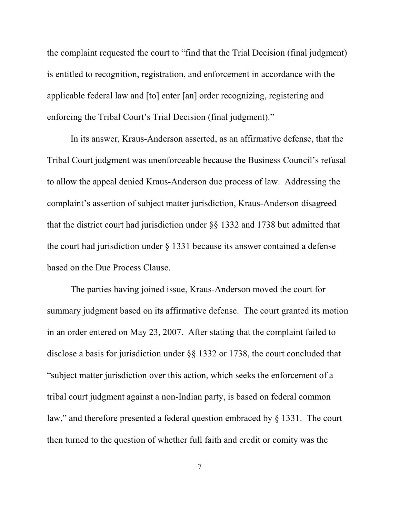the complaint requested the court to "find that the Trial Decision (final judgment) is entitled to recognition, registration, and enforcement in accordance with the applicable federal law and [to] enter [an] order recognizing, registering and enforcing the Tribal Court's Trial Decision (final judgment)."

In its answer, Kraus-Anderson asserted, as an affirmative defense, that the Tribal Court judgment was unenforceable because the Business Council's refusal to allow the appeal denied Kraus-Anderson due process of law. Addressing the complaint's assertion of subject matter jurisdiction, Kraus-Anderson disagreed that the district court had jurisdiction under §§ 1332 and 1738 but admitted that the court had jurisdiction under § 1331 because its answer contained a defense based on the Due Process Clause.

The parties having joined issue, Kraus-Anderson moved the court for summary judgment based on its affirmative defense. The court granted its motion in an order entered on May 23, 2007. After stating that the complaint failed to disclose a basis for jurisdiction under §§ 1332 or 1738, the court concluded that "subject matter jurisdiction over this action, which seeks the enforcement of a tribal court judgment against a non-Indian party, is based on federal common law," and therefore presented a federal question embraced by § 1331. The court then turned to the question of whether full faith and credit or comity was the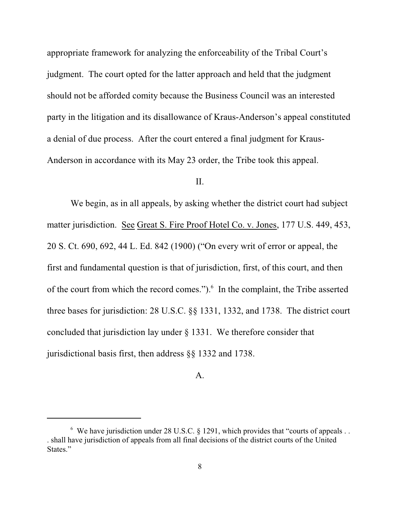appropriate framework for analyzing the enforceability of the Tribal Court's judgment. The court opted for the latter approach and held that the judgment should not be afforded comity because the Business Council was an interested party in the litigation and its disallowance of Kraus-Anderson's appeal constituted a denial of due process. After the court entered a final judgment for Kraus-Anderson in accordance with its May 23 order, the Tribe took this appeal.

## II.

We begin, as in all appeals, by asking whether the district court had subject matter jurisdiction. See Great S. Fire Proof Hotel Co. v. Jones, 177 U.S. 449, 453, 20 S. Ct. 690, 692, 44 L. Ed. 842 (1900) ("On every writ of error or appeal, the first and fundamental question is that of jurisdiction, first, of this court, and then of the court from which the record comes."). $6$  In the complaint, the Tribe asserted three bases for jurisdiction: 28 U.S.C. §§ 1331, 1332, and 1738. The district court concluded that jurisdiction lay under § 1331. We therefore consider that jurisdictional basis first, then address §§ 1332 and 1738.

### A.

 $\degree$  We have jurisdiction under 28 U.S.C. § 1291, which provides that "courts of appeals... . shall have jurisdiction of appeals from all final decisions of the district courts of the United States<sup>"</sup>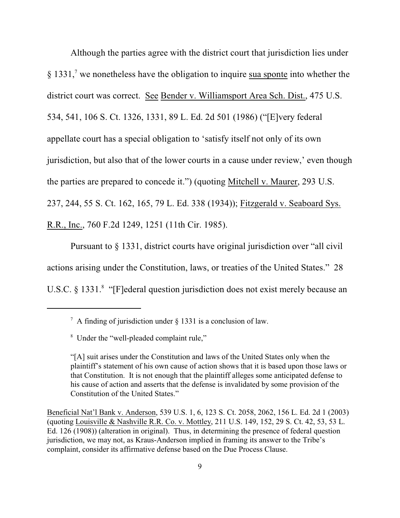Although the parties agree with the district court that jurisdiction lies under  $\S 1331<sup>7</sup>$  we nonetheless have the obligation to inquire sua sponte into whether the district court was correct. See Bender v. Williamsport Area Sch. Dist., 475 U.S. 534, 541, 106 S. Ct. 1326, 1331, 89 L. Ed. 2d 501 (1986) ("[E]very federal appellate court has a special obligation to 'satisfy itself not only of its own jurisdiction, but also that of the lower courts in a cause under review,' even though the parties are prepared to concede it.") (quoting Mitchell v. Maurer, 293 U.S. 237, 244, 55 S. Ct. 162, 165, 79 L. Ed. 338 (1934)); Fitzgerald v. Seaboard Sys. R.R., Inc., 760 F.2d 1249, 1251 (11th Cir. 1985).

Pursuant to § 1331, district courts have original jurisdiction over "all civil actions arising under the Constitution, laws, or treaties of the United States." 28 U.S.C. § 1331.<sup>8</sup> "[F]ederal question jurisdiction does not exist merely because an

<sup>&</sup>lt;sup>7</sup> A finding of jurisdiction under  $\frac{1331}{15}$  is a conclusion of law.

<sup>&</sup>lt;sup>8</sup> Under the "well-pleaded complaint rule,"

<sup>&</sup>quot;[A] suit arises under the Constitution and laws of the United States only when the plaintiff's statement of his own cause of action shows that it is based upon those laws or that Constitution. It is not enough that the plaintiff alleges some anticipated defense to his cause of action and asserts that the defense is invalidated by some provision of the Constitution of the United States."

Beneficial Nat'l Bank v. Anderson, 539 U.S. 1, 6, 123 S. Ct. 2058, 2062, 156 L. Ed. 2d 1 (2003) (quoting Louisville & Nashville R.R. Co. v. Mottley, 211 U.S. 149, 152, 29 S. Ct. 42, 53, 53 L. Ed. 126 (1908)) (alteration in original). Thus, in determining the presence of federal question jurisdiction, we may not, as Kraus-Anderson implied in framing its answer to the Tribe's complaint, consider its affirmative defense based on the Due Process Clause.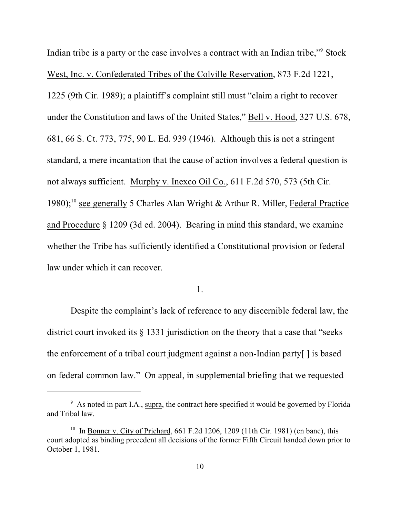Indian tribe is a party or the case involves a contract with an Indian tribe,"<sup>9</sup> Stock West, Inc. v. Confederated Tribes of the Colville Reservation, 873 F.2d 1221, 1225 (9th Cir. 1989); a plaintiff's complaint still must "claim a right to recover under the Constitution and laws of the United States," Bell v. Hood, 327 U.S. 678, 681, 66 S. Ct. 773, 775, 90 L. Ed. 939 (1946). Although this is not a stringent standard, a mere incantation that the cause of action involves a federal question is not always sufficient. Murphy v. Inexco Oil Co., 611 F.2d 570, 573 (5th Cir. 1980);  $10^{\circ}$  see generally 5 Charles Alan Wright & Arthur R. Miller, Federal Practice and Procedure § 1209 (3d ed. 2004). Bearing in mind this standard, we examine whether the Tribe has sufficiently identified a Constitutional provision or federal law under which it can recover.

## 1.

Despite the complaint's lack of reference to any discernible federal law, the district court invoked its § 1331 jurisdiction on the theory that a case that "seeks the enforcement of a tribal court judgment against a non-Indian party[ ] is based on federal common law." On appeal, in supplemental briefing that we requested

<sup>&</sup>lt;sup>9</sup> As noted in part I.A., supra, the contract here specified it would be governed by Florida and Tribal law.

<sup>&</sup>lt;sup>10</sup> In Bonner v. City of Prichard, 661 F.2d 1206, 1209 (11th Cir. 1981) (en banc), this court adopted as binding precedent all decisions of the former Fifth Circuit handed down prior to October 1, 1981.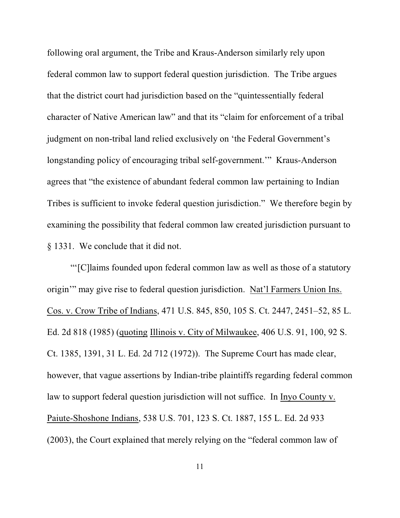following oral argument, the Tribe and Kraus-Anderson similarly rely upon federal common law to support federal question jurisdiction. The Tribe argues that the district court had jurisdiction based on the "quintessentially federal character of Native American law" and that its "claim for enforcement of a tribal judgment on non-tribal land relied exclusively on 'the Federal Government's longstanding policy of encouraging tribal self-government.'" Kraus-Anderson agrees that "the existence of abundant federal common law pertaining to Indian Tribes is sufficient to invoke federal question jurisdiction." We therefore begin by examining the possibility that federal common law created jurisdiction pursuant to § 1331. We conclude that it did not.

"'[C]laims founded upon federal common law as well as those of a statutory origin'" may give rise to federal question jurisdiction. Nat'l Farmers Union Ins. Cos. v. Crow Tribe of Indians, 471 U.S. 845, 850, 105 S. Ct. 2447, 2451–52, 85 L. Ed. 2d 818 (1985) (quoting Illinois v. City of Milwaukee, 406 U.S. 91, 100, 92 S. Ct. 1385, 1391, 31 L. Ed. 2d 712 (1972)). The Supreme Court has made clear, however, that vague assertions by Indian-tribe plaintiffs regarding federal common law to support federal question jurisdiction will not suffice. In Inyo County v. Paiute-Shoshone Indians, 538 U.S. 701, 123 S. Ct. 1887, 155 L. Ed. 2d 933 (2003), the Court explained that merely relying on the "federal common law of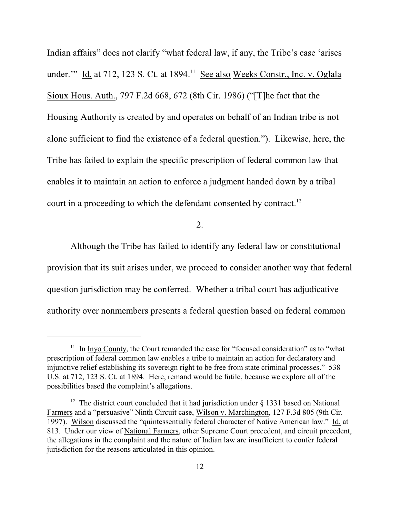Indian affairs" does not clarify "what federal law, if any, the Tribe's case 'arises under." Id. at  $712$ ,  $123$  S. Ct. at  $1894$ .<sup>11</sup> See also Weeks Constr., Inc. v. Oglala Sioux Hous. Auth., 797 F.2d 668, 672 (8th Cir. 1986) ("[T]he fact that the Housing Authority is created by and operates on behalf of an Indian tribe is not alone sufficient to find the existence of a federal question."). Likewise, here, the Tribe has failed to explain the specific prescription of federal common law that enables it to maintain an action to enforce a judgment handed down by a tribal court in a proceeding to which the defendant consented by contract.<sup>12</sup>

2.

Although the Tribe has failed to identify any federal law or constitutional provision that its suit arises under, we proceed to consider another way that federal question jurisdiction may be conferred. Whether a tribal court has adjudicative authority over nonmembers presents a federal question based on federal common

 $11$  In Inyo County, the Court remanded the case for "focused consideration" as to "what prescription of federal common law enables a tribe to maintain an action for declaratory and injunctive relief establishing its sovereign right to be free from state criminal processes." 538 U.S. at 712, 123 S. Ct. at 1894. Here, remand would be futile, because we explore all of the possibilities based the complaint's allegations.

<sup>&</sup>lt;sup>12</sup> The district court concluded that it had jurisdiction under  $\S$  1331 based on National Farmers and a "persuasive" Ninth Circuit case, Wilson v. Marchington, 127 F.3d 805 (9th Cir. 1997). Wilson discussed the "quintessentially federal character of Native American law." Id. at 813. Under our view of National Farmers, other Supreme Court precedent, and circuit precedent, the allegations in the complaint and the nature of Indian law are insufficient to confer federal jurisdiction for the reasons articulated in this opinion.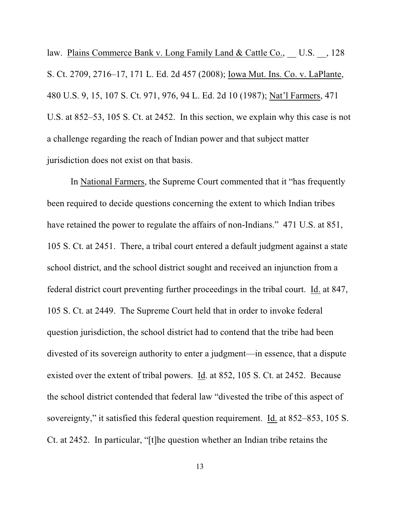law. Plains Commerce Bank v. Long Family Land & Cattle Co., U.S., 128 S. Ct. 2709, 2716–17, 171 L. Ed. 2d 457 (2008); Iowa Mut. Ins. Co. v. LaPlante, 480 U.S. 9, 15, 107 S. Ct. 971, 976, 94 L. Ed. 2d 10 (1987); Nat'l Farmers, 471 U.S. at 852–53, 105 S. Ct. at 2452. In this section, we explain why this case is not a challenge regarding the reach of Indian power and that subject matter jurisdiction does not exist on that basis.

In National Farmers, the Supreme Court commented that it "has frequently been required to decide questions concerning the extent to which Indian tribes have retained the power to regulate the affairs of non-Indians." 471 U.S. at 851, 105 S. Ct. at 2451. There, a tribal court entered a default judgment against a state school district, and the school district sought and received an injunction from a federal district court preventing further proceedings in the tribal court. Id. at 847, 105 S. Ct. at 2449. The Supreme Court held that in order to invoke federal question jurisdiction, the school district had to contend that the tribe had been divested of its sovereign authority to enter a judgment—in essence, that a dispute existed over the extent of tribal powers. Id. at 852, 105 S. Ct. at 2452. Because the school district contended that federal law "divested the tribe of this aspect of sovereignty," it satisfied this federal question requirement. Id. at 852–853, 105 S. Ct. at 2452. In particular, "[t]he question whether an Indian tribe retains the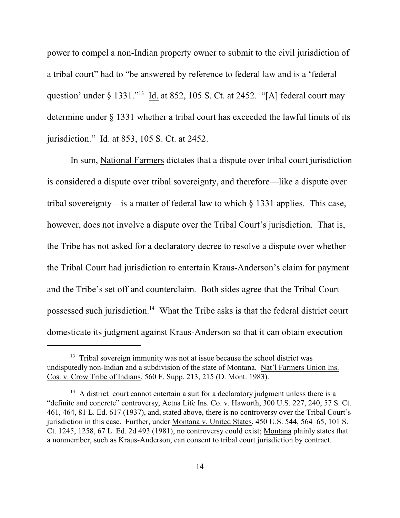power to compel a non-Indian property owner to submit to the civil jurisdiction of a tribal court" had to "be answered by reference to federal law and is a 'federal question' under  $\S$  1331."<sup>13</sup> Id. at 852, 105 S. Ct. at 2452. "[A] federal court may determine under § 1331 whether a tribal court has exceeded the lawful limits of its jurisdiction." Id. at 853, 105 S. Ct. at 2452.

In sum, National Farmers dictates that a dispute over tribal court jurisdiction is considered a dispute over tribal sovereignty, and therefore—like a dispute over tribal sovereignty—is a matter of federal law to which § 1331 applies. This case, however, does not involve a dispute over the Tribal Court's jurisdiction. That is, the Tribe has not asked for a declaratory decree to resolve a dispute over whether the Tribal Court had jurisdiction to entertain Kraus-Anderson's claim for payment and the Tribe's set off and counterclaim. Both sides agree that the Tribal Court possessed such jurisdiction.<sup>14</sup> What the Tribe asks is that the federal district court domesticate its judgment against Kraus-Anderson so that it can obtain execution

 $13$  Tribal sovereign immunity was not at issue because the school district was undisputedly non-Indian and a subdivision of the state of Montana. Nat'l Farmers Union Ins. Cos. v. Crow Tribe of Indians, 560 F. Supp. 213, 215 (D. Mont. 1983).

 $14$  A district court cannot entertain a suit for a declaratory judgment unless there is a "definite and concrete" controversy, Aetna Life Ins. Co. v. Haworth, 300 U.S. 227, 240, 57 S. Ct. 461, 464, 81 L. Ed. 617 (1937), and, stated above, there is no controversy over the Tribal Court's jurisdiction in this case. Further, under Montana v. United States, 450 U.S. 544, 564–65, 101 S. Ct. 1245, 1258, 67 L. Ed. 2d 493 (1981), no controversy could exist; Montana plainly states that a nonmember, such as Kraus-Anderson, can consent to tribal court jurisdiction by contract.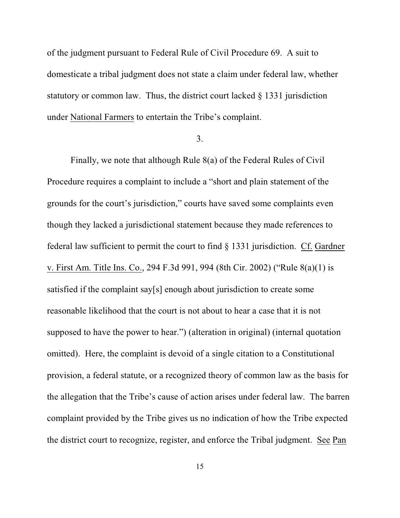of the judgment pursuant to Federal Rule of Civil Procedure 69. A suit to domesticate a tribal judgment does not state a claim under federal law, whether statutory or common law. Thus, the district court lacked § 1331 jurisdiction under National Farmers to entertain the Tribe's complaint.

#### 3.

Finally, we note that although Rule 8(a) of the Federal Rules of Civil Procedure requires a complaint to include a "short and plain statement of the grounds for the court's jurisdiction," courts have saved some complaints even though they lacked a jurisdictional statement because they made references to federal law sufficient to permit the court to find § 1331 jurisdiction. Cf. Gardner v. First Am. Title Ins. Co., 294 F.3d 991, 994 (8th Cir. 2002) ("Rule 8(a)(1) is satisfied if the complaint say[s] enough about jurisdiction to create some reasonable likelihood that the court is not about to hear a case that it is not supposed to have the power to hear.") (alteration in original) (internal quotation omitted). Here, the complaint is devoid of a single citation to a Constitutional provision, a federal statute, or a recognized theory of common law as the basis for the allegation that the Tribe's cause of action arises under federal law. The barren complaint provided by the Tribe gives us no indication of how the Tribe expected the district court to recognize, register, and enforce the Tribal judgment. See Pan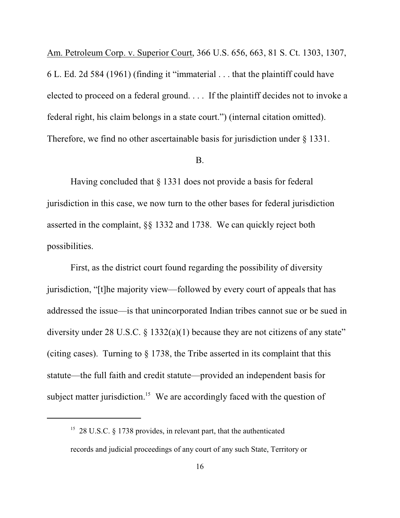Am. Petroleum Corp. v. Superior Court, 366 U.S. 656, 663, 81 S. Ct. 1303, 1307, 6 L. Ed. 2d 584 (1961) (finding it "immaterial . . . that the plaintiff could have elected to proceed on a federal ground. . . . If the plaintiff decides not to invoke a federal right, his claim belongs in a state court.") (internal citation omitted). Therefore, we find no other ascertainable basis for jurisdiction under § 1331.

#### B.

Having concluded that § 1331 does not provide a basis for federal jurisdiction in this case, we now turn to the other bases for federal jurisdiction asserted in the complaint, §§ 1332 and 1738. We can quickly reject both possibilities.

First, as the district court found regarding the possibility of diversity jurisdiction, "[t]he majority view—followed by every court of appeals that has addressed the issue—is that unincorporated Indian tribes cannot sue or be sued in diversity under 28 U.S.C.  $\S$  1332(a)(1) because they are not citizens of any state" (citing cases). Turning to § 1738, the Tribe asserted in its complaint that this statute—the full faith and credit statute—provided an independent basis for subject matter jurisdiction.<sup>15</sup> We are accordingly faced with the question of

<sup>&</sup>lt;sup>15</sup> 28 U.S.C. § 1738 provides, in relevant part, that the authenticated records and judicial proceedings of any court of any such State, Territory or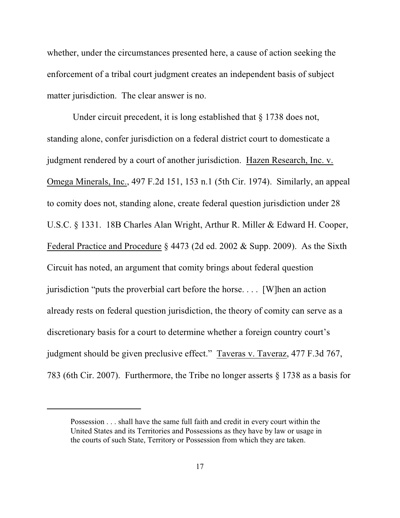whether, under the circumstances presented here, a cause of action seeking the enforcement of a tribal court judgment creates an independent basis of subject matter jurisdiction. The clear answer is no.

Under circuit precedent, it is long established that § 1738 does not, standing alone, confer jurisdiction on a federal district court to domesticate a judgment rendered by a court of another jurisdiction. Hazen Research, Inc. v. Omega Minerals, Inc., 497 F.2d 151, 153 n.1 (5th Cir. 1974). Similarly, an appeal to comity does not, standing alone, create federal question jurisdiction under 28 U.S.C. § 1331. 18B Charles Alan Wright, Arthur R. Miller & Edward H. Cooper, Federal Practice and Procedure § 4473 (2d ed. 2002 & Supp. 2009). As the Sixth Circuit has noted, an argument that comity brings about federal question jurisdiction "puts the proverbial cart before the horse. . . . [W]hen an action already rests on federal question jurisdiction, the theory of comity can serve as a discretionary basis for a court to determine whether a foreign country court's judgment should be given preclusive effect." Taveras v. Taveraz, 477 F.3d 767, 783 (6th Cir. 2007). Furthermore, the Tribe no longer asserts § 1738 as a basis for

Possession . . . shall have the same full faith and credit in every court within the United States and its Territories and Possessions as they have by law or usage in the courts of such State, Territory or Possession from which they are taken.